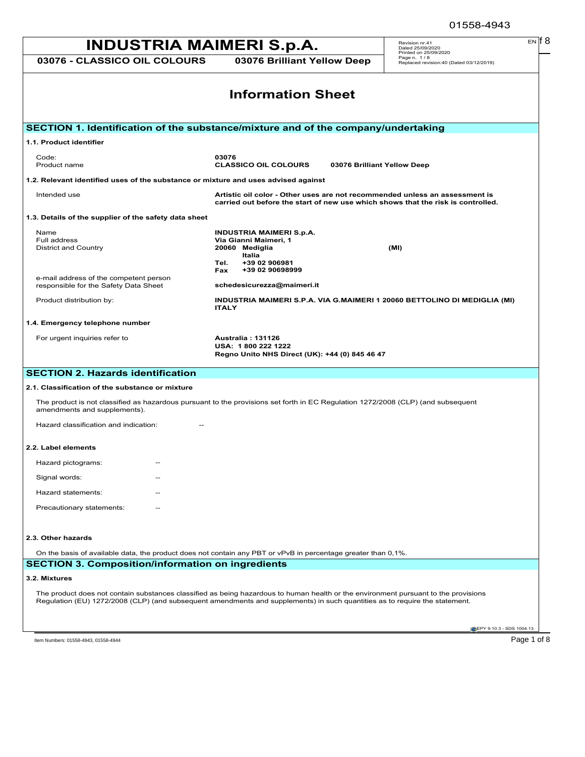# Page 1 of 8 MSDS for #01558 - MAIMERI CLASSICO OIL **INDUSTRIA MAIMERI S.p.A. 03076 - CLASSICO OIL COLOURS 03076 Brilliant Yellow Deep** Revision nr.41 Dated 25/09/2020 Printed on 25/09/2020 Page n. 1 / 8 Replaced revision:40 (Dated 03/12/2019) EN **EPY 9.10.3 - SDS 1004.13 Information Sheet SECTION 1. Identification of the substance/mixture and of the company/undertaking 1.1. Product identifier** Code: **03076** Product name **CLASSICO OIL COLOURS 03076 Brilliant Yellow Deep 1.2. Relevant identified uses of the substance or mixture and uses advised against** Intended use **Artistic oil color - Other uses are not recommended unless an assessment is carried out before the start of new use which shows that the risk is controlled. 1.3. Details of the supplier of the safety data sheet** Name **INDUSTRIA MAIMERI S.p.A. Via Gianni Maimeri, 1<br>20060 Mediglia** District and Country **20060 Mediglia (MI) Italia Tel. +39 02 906981 Fax +39 02 90698999** e-mail address of the competent person responsible for the Safety Data Sheet **schedesicurezza@maimeri.it** Product distribution by: **INDUSTRIA MAIMERI S.P.A. VIA G.MAIMERI 1 20060 BETTOLINO DI MEDIGLIA (MI) ITALY 1.4. Emergency telephone number** For urgent inquiries refer to **Australia : 131126 USA: 1 800 222 1222 Regno Unito NHS Direct (UK): +44 (0) 845 46 47 SECTION 2. Hazards identification 2.1. Classification of the substance or mixture** The product is not classified as hazardous pursuant to the provisions set forth in EC Regulation 1272/2008 (CLP) (and subsequent amendments and supplements). Hazard classification and indication: **2.2. Label elements** Hazard pictograms: Signal words: Hazard statements: Precautionary statements: **2.3. Other hazards** On the basis of available data, the product does not contain any PBT or vPvB in percentage greater than 0,1%. **SECTION 3. Composition/information on ingredients 3.2. Mixtures** The product does not contain substances classified as being hazardous to human health or the environment pursuant to the provisions Regulation (EU) 1272/2008 (CLP) (and subsequent amendments and supplements) in such quantities as to require the statement.

Item Numbers: 01558-4943, 01558-4944 **Page 1 of 8**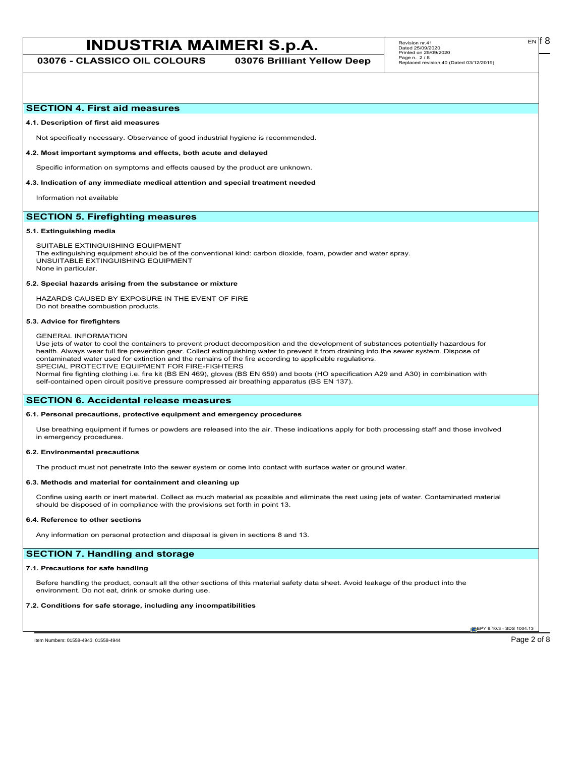# **INDUSTRIA MAIMERI S.p.A.** Revision m:41<br>
Patent 25.0922020

**03076 - CLASSICO OIL COLOURS 03076 Brilliant Yellow Deep**

## **SECTION 4. First aid measures**

#### **4.1. Description of first aid measures**

Not specifically necessary. Observance of good industrial hygiene is recommended.

#### **4.2. Most important symptoms and effects, both acute and delayed**

Specific information on symptoms and effects caused by the product are unknown.

#### **4.3. Indication of any immediate medical attention and special treatment needed**

Information not available

# **SECTION 5. Firefighting measures**

#### **5.1. Extinguishing media**

SUITABLE EXTINGUISHING EQUIPMENT The extinguishing equipment should be of the conventional kind: carbon dioxide, foam, powder and water spray. UNSUITABLE EXTINGUISHING EQUIPMENT None in particular.

#### **5.2. Special hazards arising from the substance or mixture**

HAZARDS CAUSED BY EXPOSURE IN THE EVENT OF FIRE Do not breathe combustion products.

#### **5.3. Advice for firefighters**

#### GENERAL INFORMATION

Use jets of water to cool the containers to prevent product decomposition and the development of substances potentially hazardous for health. Always wear full fire prevention gear. Collect extinguishing water to prevent it from draining into the sewer system. Dispose of contaminated water used for extinction and the remains of the fire according to applicable regulations. SPECIAL PROTECTIVE EQUIPMENT FOR FIRE-FIGHTERS

Normal fire fighting clothing i.e. fire kit (BS EN 469), gloves (BS EN 659) and boots (HO specification A29 and A30) in combination with self-contained open circuit positive pressure compressed air breathing apparatus (BS EN 137).

## **SECTION 6. Accidental release measures**

## **6.1. Personal precautions, protective equipment and emergency procedures**

Use breathing equipment if fumes or powders are released into the air. These indications apply for both processing staff and those involved in emergency procedures.

#### **6.2. Environmental precautions**

The product must not penetrate into the sewer system or come into contact with surface water or ground water.

#### **6.3. Methods and material for containment and cleaning up**

Confine using earth or inert material. Collect as much material as possible and eliminate the rest using jets of water. Contaminated material should be disposed of in compliance with the provisions set forth in point 13.

#### **6.4. Reference to other sections**

Any information on personal protection and disposal is given in sections 8 and 13.

# **SECTION 7. Handling and storage**

#### **7.1. Precautions for safe handling**

Before handling the product, consult all the other sections of this material safety data sheet. Avoid leakage of the product into the environment. Do not eat, drink or smoke during use.

### **7.2. Conditions for safe storage, including any incompatibilities**

**EPY 9.10.3 - SDS 1004.13** 

Item Numbers: 01558-4943, 01558-4944 **Page 2 of 8** 

EN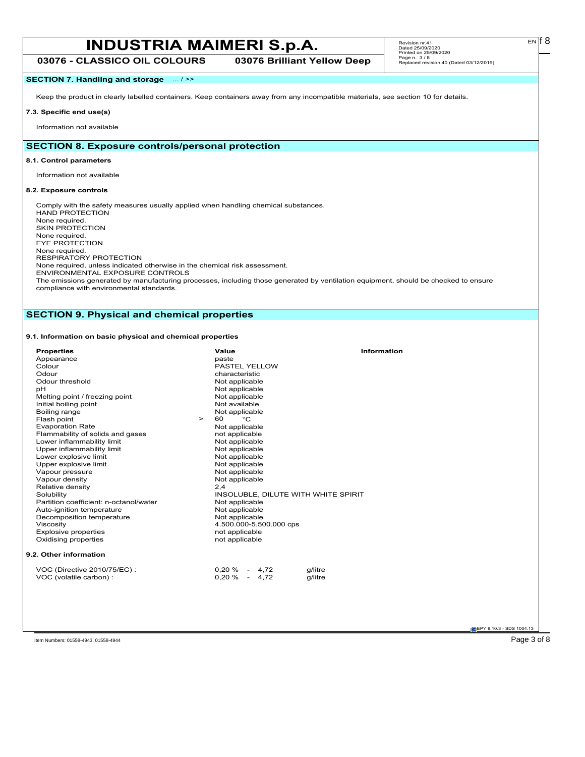# Page 3 of 8 MSDS for #01558 - MAIMERI CLASSICO OIL **INDUSTRIA MAIMERI S.p.A.**

**03076 - CLASSICO OIL COLOURS 03076 Brilliant Yellow Deep**

# **SECTION 7. Handling and storage** ... / >>

Keep the product in clearly labelled containers. Keep containers away from any incompatible materials, see section 10 for details.

# **7.3. Specific end use(s)**

Information not available

# **SECTION 8. Exposure controls/personal protection**

# **8.1. Control parameters**

Information not available

# **8.2. Exposure controls**

Comply with the safety measures usually applied when handling chemical substances. HAND PROTECTION None required. SKIN PROTECTION None required. EYE PROTECTION None required. RESPIRATORY PROTECTION None required, unless indicated otherwise in the chemical risk assessment. ENVIRONMENTAL EXPOSURE CONTROLS The emissions generated by manufacturing processes, including those generated by ventilation equipment, should be checked to ensure

compliance with environmental standards.

# **SECTION 9. Physical and chemical properties**

# **9.1. Information on basic physical and chemical properties**

| <b>Properties</b>                      | Value<br>Information                |  |
|----------------------------------------|-------------------------------------|--|
| Appearance                             | paste                               |  |
| Colour                                 | PASTEL YELLOW                       |  |
| Odour                                  | characteristic                      |  |
| Odour threshold                        | Not applicable                      |  |
| рH                                     | Not applicable                      |  |
| Melting point / freezing point         | Not applicable                      |  |
| Initial boiling point                  | Not available                       |  |
| Boiling range                          | Not applicable                      |  |
| Flash point<br>$\geq$                  | °С<br>60                            |  |
| <b>Evaporation Rate</b>                | Not applicable                      |  |
| Flammability of solids and gases       | not applicable                      |  |
| Lower inflammability limit             | Not applicable                      |  |
| Upper inflammability limit             | Not applicable                      |  |
| Lower explosive limit                  | Not applicable                      |  |
| Upper explosive limit                  | Not applicable                      |  |
| Vapour pressure                        | Not applicable                      |  |
| Vapour density                         | Not applicable                      |  |
| Relative density                       | 2,4                                 |  |
| Solubility                             | INSOLUBLE, DILUTE WITH WHITE SPIRIT |  |
| Partition coefficient: n-octanol/water | Not applicable                      |  |
| Auto-ignition temperature              | Not applicable                      |  |
| Decomposition temperature              | Not applicable                      |  |
| Viscosity                              | 4.500.000-5.500.000 cps             |  |
| <b>Explosive properties</b>            | not applicable                      |  |
| Oxidising properties                   | not applicable                      |  |
| 9.2. Other information                 |                                     |  |
| VOC (Directive 2010/75/EC):            | $0,20\%$ - 4,72<br>g/litre          |  |
| VOC (volatile carbon) :                | $0,20\% - 4,72$<br>g/litre          |  |
|                                        |                                     |  |

 $E<sub>N</sub>$  18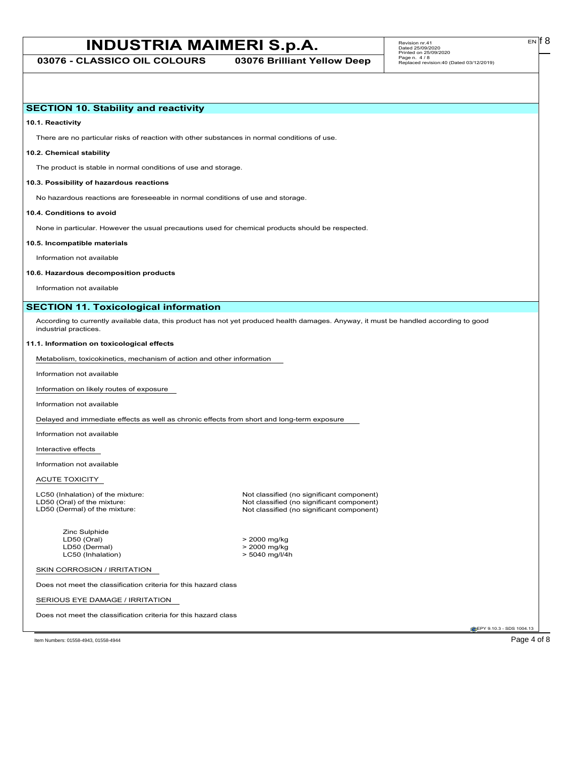# Page 4 of 8 MSDS for #01558 - MAIMERI CLASSICO OIL **INDUSTRIA MAIMERI S.p.A.**

**03076 - CLASSICO OIL COLOURS 03076 Brilliant Yellow Deep**

EN

# **SECTION 10. Stability and reactivity**

**10.1. Reactivity**

There are no particular risks of reaction with other substances in normal conditions of use.

## **10.2. Chemical stability**

The product is stable in normal conditions of use and storage.

### **10.3. Possibility of hazardous reactions**

No hazardous reactions are foreseeable in normal conditions of use and storage.

#### **10.4. Conditions to avoid**

None in particular. However the usual precautions used for chemical products should be respected.

#### **10.5. Incompatible materials**

Information not available

#### **10.6. Hazardous decomposition products**

Information not available

# **SECTION 11. Toxicological information**

According to currently available data, this product has not yet produced health damages. Anyway, it must be handled according to good industrial practices.

#### **11.1. Information on toxicological effects**

Metabolism, toxicokinetics, mechanism of action and other information

Information not available

Information on likely routes of exposure

Information not available

Delayed and immediate effects as well as chronic effects from short and long-term exposure

Information not available

Interactive effects

Information not available

## ACUTE TOXICITY

Zinc Sulphide<br>LD50 (Oral) LD50 (Oral) > 2000 mg/kg LC50 (Inhalation)

LC50 (Inhalation) of the mixture: Not classified (no significant component)<br>
LD50 (Oral) of the mixture: Not classified (no significant component) LD50 (Oral) of the mixture: Not classified (no significant component)<br>
LD50 (Dermal) of the mixture: Not classified (no significant component) Not classified (no significant component)

 $> 2000 \text{ mg/kg}$ <br> $> 5040 \text{ mg/l/4h}$ 

SKIN CORROSION / IRRITATION

Does not meet the classification criteria for this hazard class

SERIOUS EYE DAMAGE / IRRITATION

Does not meet the classification criteria for this hazard class

EPY 9.10.3 - SDS 1004.13

Item Numbers: 01558-4943, 01558-4944 Page 4 of 8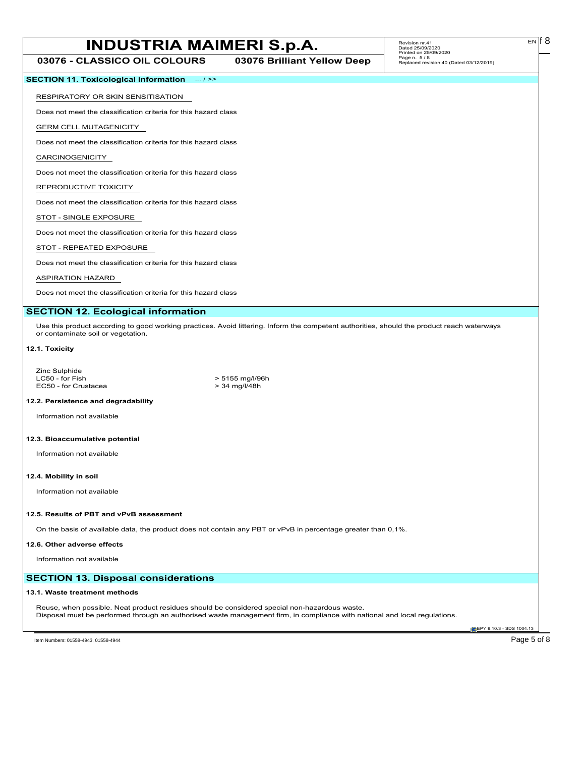# Page 5 of 8 MSDS for #01558 - MAIMERI CLASSICO OIL **INDUSTRIA MAIMERI S.p.A.**

**03076 - CLASSICO OIL COLOURS 03076 Brilliant Yellow Deep**

EN

| <b>SECTION 11. Toxicological information</b> $\ldots$ / >> |
|------------------------------------------------------------|
|------------------------------------------------------------|

Does not meet the classification criteria for this hazard class

GERM CELL MUTAGENICITY

Does not meet the classification criteria for this hazard class

CARCINOGENICITY

Does not meet the classification criteria for this hazard class

## REPRODUCTIVE TOXICITY

Does not meet the classification criteria for this hazard class

STOT - SINGLE EXPOSURE

Does not meet the classification criteria for this hazard class

STOT - REPEATED EXPOSURE

Does not meet the classification criteria for this hazard class

### ASPIRATION HAZARD

Does not meet the classification criteria for this hazard class

## **SECTION 12. Ecological information**

Use this product according to good working practices. Avoid littering. Inform the competent authorities, should the product reach waterways or contaminate soil or vegetation.

## **12.1. Toxicity**

Zinc Sulphide<br>LC50 - for Fish EC50 - for Crustacea

> 5155 mg/l/96h<br>> 34 mg/l/48h

#### **12.2. Persistence and degradability**

Information not available

#### **12.3. Bioaccumulative potential**

Information not available

#### **12.4. Mobility in soil**

Information not available

## **12.5. Results of PBT and vPvB assessment**

On the basis of available data, the product does not contain any PBT or vPvB in percentage greater than 0,1%.

#### **12.6. Other adverse effects**

Information not available

# **SECTION 13. Disposal considerations**

## **13.1. Waste treatment methods**

Reuse, when possible. Neat product residues should be considered special non-hazardous waste. Disposal must be performed through an authorised waste management firm, in compliance with national and local regulations.

**EPY 9.10.3 - SDS 1004.13**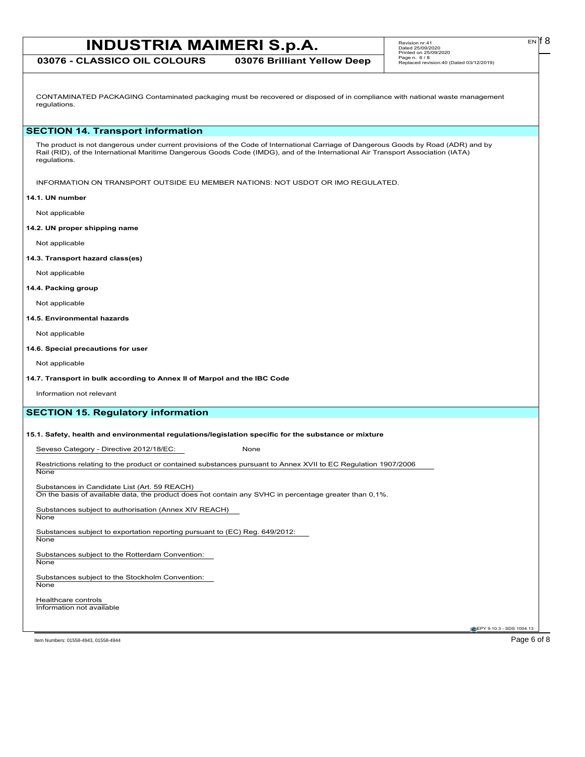# **INDUSTRIA MAIMERI S.p.A.** Revision m:41<br> **INDUSTRIA MAIMERI S.p.A.** Beter 25/09/2020

**03076 - CLASSICO OIL COLOURS 03076 Brilliant Yellow Deep**

CONTAMINATED PACKAGING Contaminated packaging must be recovered or disposed of in compliance with national waste management regulations.

# **SECTION 14. Transport information**

The product is not dangerous under current provisions of the Code of International Carriage of Dangerous Goods by Road (ADR) and by Rail (RID), of the International Maritime Dangerous Goods Code (IMDG), and of the International Air Transport Association (IATA) regulations.

INFORMATION ON TRANSPORT OUTSIDE EU MEMBER NATIONS: NOT USDOT OR IMO REGULATED.

## **14.1. UN number**

Not applicable

**14.2. UN proper shipping name**

Not applicable

**14.3. Transport hazard class(es)**

Not applicable

## **14.4. Packing group**

Not applicable

### **14.5. Environmental hazards**

Not applicable

### **14.6. Special precautions for user**

Not applicable

## **14.7. Transport in bulk according to Annex II of Marpol and the IBC Code**

Information not relevant

# **SECTION 15. Regulatory information**

**15.1. Safety, health and environmental regulations/legislation specific for the substance or mixture**

Seveso Category - Directive 2012/18/EC: None

Restrictions relating to the product or contained substances pursuant to Annex XVII to EC Regulation 1907/2006 None

Substances in Candidate List (Art. 59 REACH)

On the basis of available data, the product does not contain any SVHC in percentage greater than 0,1%.

Substances subject to authorisation (Annex XIV REACH) None

Substances subject to exportation reporting pursuant to (EC) Reg. 649/2012:

# **None**

Substances subject to the Rotterdam Convention:

**None** 

Substances subject to the Stockholm Convention: **None** 

Healthcare controls Information not available

**EPY 9.10.3 - SDS 1004.13** 

Item Numbers: 01558-4943, 01558-4944 **Page 6 of 8**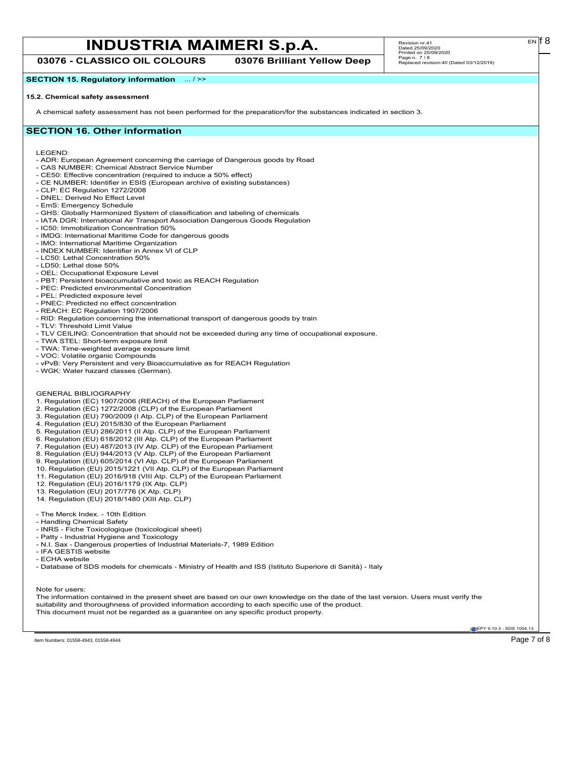# Page 7 of 8 MSDS for #01558 - MAIMERI CLASSICO OIL **INDUSTRIA MAIMERI S.p.A.**

**03076 - CLASSICO OIL COLOURS 03076 Brilliant Yellow Deep**

**SECTION 15. Regulatory information** ... / >>

# **15.2. Chemical safety assessment**

A chemical safety assessment has not been performed for the preparation/for the substances indicated in section 3.

# **SECTION 16. Other information**

LEGEND:

- ADR: European Agreement concerning the carriage of Dangerous goods by Road
- CAS NUMBER: Chemical Abstract Service Number
- CE50: Effective concentration (required to induce a 50% effect)
- CE NUMBER: Identifier in ESIS (European archive of existing substances)
- CLP: EC Regulation 1272/2008 - DNEL: Derived No Effect Level
- 
- EmS: Emergency Schedule
- GHS: Globally Harmonized System of classification and labeling of chemicals - IATA DGR: International Air Transport Association Dangerous Goods Regulation
- IC50: Immobilization Concentration 50%
- IMDG: International Maritime Code for dangerous goods
- IMO: International Maritime Organization
- INDEX NUMBER: Identifier in Annex VI of CLP
- LC50: Lethal Concentration 50%
- LD50: Lethal dose 50%
- OEL: Occupational Exposure Level
- PBT: Persistent bioaccumulative and toxic as REACH Regulation
- PEC: Predicted environmental Concentration
- PEL: Predicted exposure level
- PNEC: Predicted no effect concentration
- REACH: EC Regulation 1907/2006
- RID: Regulation concerning the international transport of dangerous goods by train
- TLV: Threshold Limit Value
- TLV CEILING: Concentration that should not be exceeded during any time of occupational exposure.
- TWA STEL: Short-term exposure limit
- TWA: Time-weighted average exposure limit
- VOC: Volatile organic Compounds
- vPvB: Very Persistent and very Bioaccumulative as for REACH Regulation
- WGK: Water hazard classes (German).
- GENERAL BIBLIOGRAPHY
- 1. Regulation (EC) 1907/2006 (REACH) of the European Parliament
- 2. Regulation (EC) 1272/2008 (CLP) of the European Parliament
- 3. Regulation (EU) 790/2009 (I Atp. CLP) of the European Parliament
- 4. Regulation (EU) 2015/830 of the European Parliament
- 5. Regulation (EU) 286/2011 (II Atp. CLP) of the European Parliament
- 6. Regulation (EU) 618/2012 (III Atp. CLP) of the European Parliament
- 7. Regulation (EU) 487/2013 (IV Atp. CLP) of the European Parliament
- 8. Regulation (EU) 944/2013 (V Atp. CLP) of the European Parliament
- 9. Regulation (EU) 605/2014 (VI Atp. CLP) of the European Parliament
- 10. Regulation (EU) 2015/1221 (VII Atp. CLP) of the European Parliament
- 11. Regulation (EU) 2016/918 (VIII Atp. CLP) of the European Parliament
- 12. Regulation (EU) 2016/1179 (IX Atp. CLP)
- 13. Regulation (EU) 2017/776 (X Atp. CLP)
- 14. Regulation (EU) 2018/1480 (XIII Atp. CLP)
- The Merck Index. 10th Edition
- Handling Chemical Safety
- INRS Fiche Toxicologique (toxicological sheet)
- Patty Industrial Hygiene and Toxicology
- N.I. Sax Dangerous properties of Industrial Materials-7, 1989 Edition
- IFA GESTIS website
- ECHA website
- Database of SDS models for chemicals Ministry of Health and ISS (Istituto Superiore di Sanità) Italy

## Note for users:

The information contained in the present sheet are based on our own knowledge on the date of the last version. Users must verify the suitability and thoroughness of provided information according to each specific use of the product. This document must not be regarded as a guarantee on any specific product property.

**EPY 9.10.3 - SDS 1004.13**